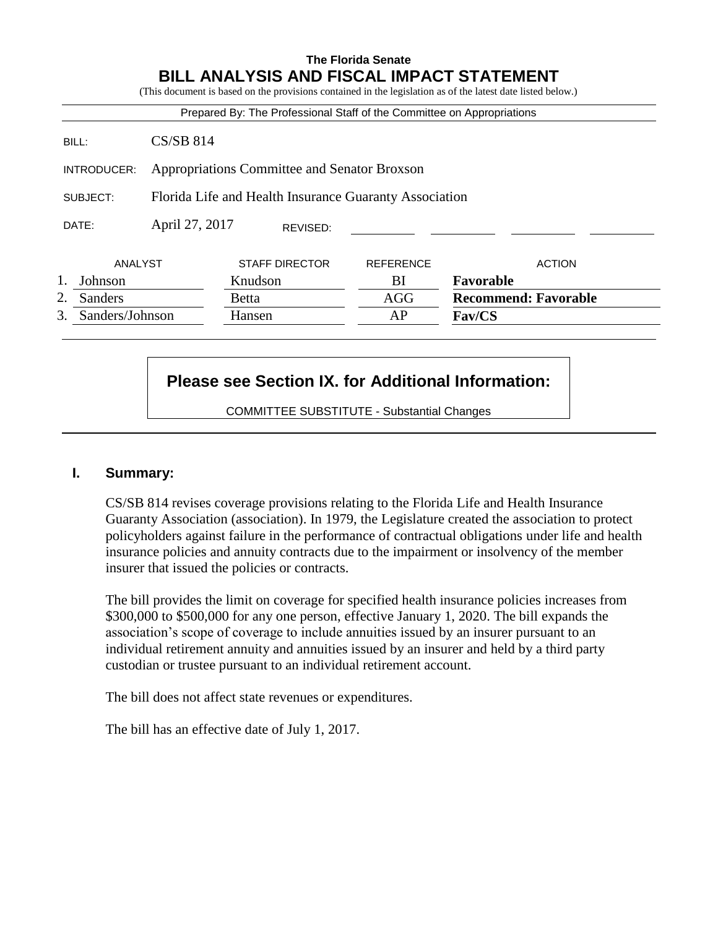## **The Florida Senate BILL ANALYSIS AND FISCAL IMPACT STATEMENT**

|               |                                                        |                       |          |                  | (This document is based on the provisions contained in the legislation as of the latest date listed below.) |
|---------------|--------------------------------------------------------|-----------------------|----------|------------------|-------------------------------------------------------------------------------------------------------------|
|               |                                                        |                       |          |                  | Prepared By: The Professional Staff of the Committee on Appropriations                                      |
| BILL:         | $CS/SB$ 814                                            |                       |          |                  |                                                                                                             |
| INTRODUCER:   | Appropriations Committee and Senator Broxson           |                       |          |                  |                                                                                                             |
| SUBJECT:      | Florida Life and Health Insurance Guaranty Association |                       |          |                  |                                                                                                             |
| DATE:         | April 27, 2017                                         |                       | REVISED: |                  |                                                                                                             |
| ANALYST       |                                                        | <b>STAFF DIRECTOR</b> |          | <b>REFERENCE</b> | <b>ACTION</b>                                                                                               |
| Johnson       |                                                        | Knudson               |          | ВI               | Favorable                                                                                                   |
| 2.<br>Sanders |                                                        | <b>Betta</b>          |          | AGG              | <b>Recommend: Favorable</b>                                                                                 |
|               |                                                        | Hansen                |          | AP               | <b>Fav/CS</b>                                                                                               |

# **Please see Section IX. for Additional Information:**

COMMITTEE SUBSTITUTE - Substantial Changes

## **I. Summary:**

CS/SB 814 revises coverage provisions relating to the Florida Life and Health Insurance Guaranty Association (association). In 1979, the Legislature created the association to protect policyholders against failure in the performance of contractual obligations under life and health insurance policies and annuity contracts due to the impairment or insolvency of the member insurer that issued the policies or contracts.

The bill provides the limit on coverage for specified health insurance policies increases from \$300,000 to \$500,000 for any one person, effective January 1, 2020. The bill expands the association's scope of coverage to include annuities issued by an insurer pursuant to an individual retirement annuity and annuities issued by an insurer and held by a third party custodian or trustee pursuant to an individual retirement account.

The bill does not affect state revenues or expenditures.

The bill has an effective date of July 1, 2017.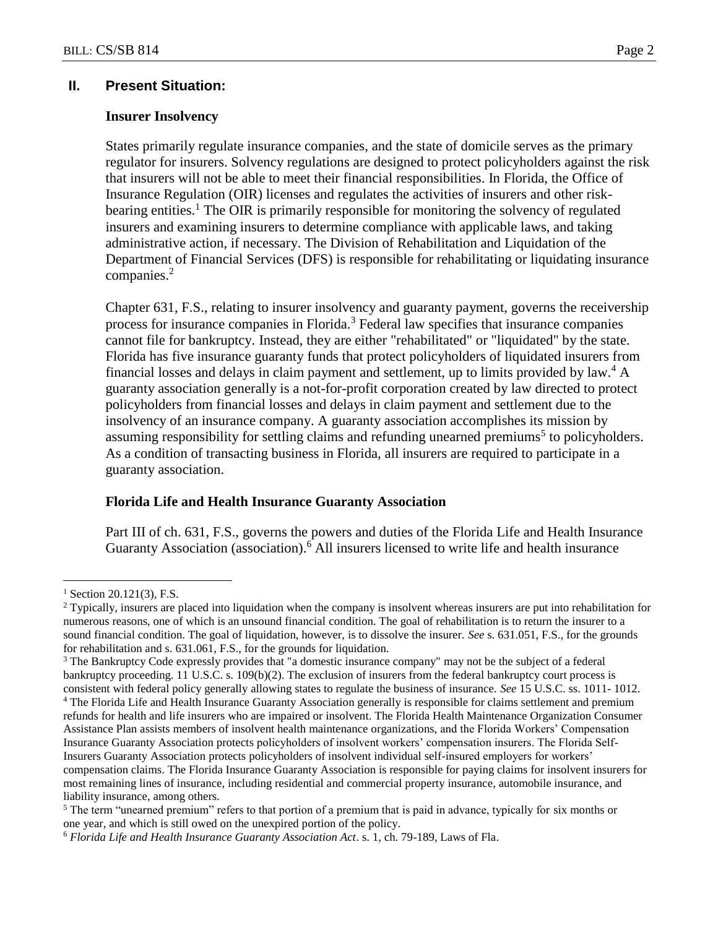## **II. Present Situation:**

#### **Insurer Insolvency**

States primarily regulate insurance companies, and the state of domicile serves as the primary regulator for insurers. Solvency regulations are designed to protect policyholders against the risk that insurers will not be able to meet their financial responsibilities. In Florida, the Office of Insurance Regulation (OIR) licenses and regulates the activities of insurers and other riskbearing entities.<sup>1</sup> The OIR is primarily responsible for monitoring the solvency of regulated insurers and examining insurers to determine compliance with applicable laws, and taking administrative action, if necessary. The Division of Rehabilitation and Liquidation of the Department of Financial Services (DFS) is responsible for rehabilitating or liquidating insurance companies.<sup>2</sup>

Chapter 631, F.S., relating to insurer insolvency and guaranty payment, governs the receivership process for insurance companies in Florida.<sup>3</sup> Federal law specifies that insurance companies cannot file for bankruptcy. Instead, they are either "rehabilitated" or "liquidated" by the state. Florida has five insurance guaranty funds that protect policyholders of liquidated insurers from financial losses and delays in claim payment and settlement, up to limits provided by law.<sup>4</sup> A guaranty association generally is a not-for-profit corporation created by law directed to protect policyholders from financial losses and delays in claim payment and settlement due to the insolvency of an insurance company. A guaranty association accomplishes its mission by assuming responsibility for settling claims and refunding unearned premiums<sup>5</sup> to policyholders. As a condition of transacting business in Florida, all insurers are required to participate in a guaranty association.

#### **Florida Life and Health Insurance Guaranty Association**

Part III of ch. 631, F.S., governs the powers and duties of the Florida Life and Health Insurance Guaranty Association (association).<sup>6</sup> All insurers licensed to write life and health insurance

 $\overline{a}$ 

 $1$  Section 20.121(3), F.S.

<sup>2</sup> Typically, insurers are placed into liquidation when the company is insolvent whereas insurers are put into rehabilitation for numerous reasons, one of which is an unsound financial condition. The goal of rehabilitation is to return the insurer to a sound financial condition. The goal of liquidation, however, is to dissolve the insurer. *See* s. 631.051, F.S., for the grounds for rehabilitation and s. 631.061, F.S., for the grounds for liquidation.

<sup>&</sup>lt;sup>3</sup> The Bankruptcy Code expressly provides that "a domestic insurance company" may not be the subject of a federal bankruptcy proceeding. 11 U.S.C. s. 109(b)(2). The exclusion of insurers from the federal bankruptcy court process is consistent with federal policy generally allowing states to regulate the business of insurance. *See* 15 U.S.C. ss. 1011- 1012.

<sup>4</sup> The Florida Life and Health Insurance Guaranty Association generally is responsible for claims settlement and premium refunds for health and life insurers who are impaired or insolvent. The Florida Health Maintenance Organization Consumer Assistance Plan assists members of insolvent health maintenance organizations, and the Florida Workers' Compensation Insurance Guaranty Association protects policyholders of insolvent workers' compensation insurers. The Florida Self-Insurers Guaranty Association protects policyholders of insolvent individual self-insured employers for workers' compensation claims. The Florida Insurance Guaranty Association is responsible for paying claims for insolvent insurers for most remaining lines of insurance, including residential and commercial property insurance, automobile insurance, and liability insurance, among others.

<sup>&</sup>lt;sup>5</sup> The term "unearned premium" refers to that portion of a premium that is paid in advance, typically for six months or one year, and which is still owed on the unexpired portion of the policy.

<sup>6</sup> *Florida Life and Health Insurance Guaranty Association Act*. s. 1, ch. 79-189, Laws of Fla.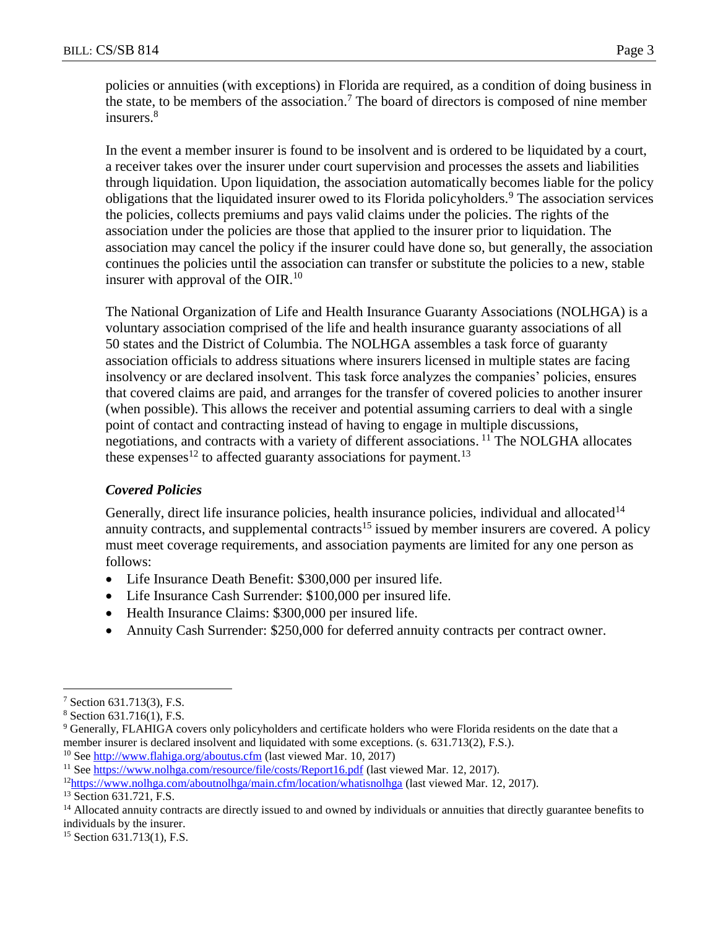policies or annuities (with exceptions) in Florida are required, as a condition of doing business in the state, to be members of the association.<sup>7</sup> The board of directors is composed of nine member insurers. 8

In the event a member insurer is found to be insolvent and is ordered to be liquidated by a court, a receiver takes over the insurer under court supervision and processes the assets and liabilities through liquidation. Upon liquidation, the association automatically becomes liable for the policy obligations that the liquidated insurer owed to its Florida policyholders.<sup>9</sup> The association services the policies, collects premiums and pays valid claims under the policies. The rights of the association under the policies are those that applied to the insurer prior to liquidation. The association may cancel the policy if the insurer could have done so, but generally, the association continues the policies until the association can transfer or substitute the policies to a new, stable insurer with approval of the OIR.<sup>10</sup>

The National Organization of Life and Health Insurance Guaranty Associations (NOLHGA) is a voluntary association comprised of the life and health insurance guaranty associations of all 50 states and the District of Columbia. The NOLHGA assembles a task force of guaranty association officials to address situations where insurers licensed in multiple states are facing insolvency or are declared insolvent. This task force analyzes the companies' policies, ensures that covered claims are paid, and arranges for the transfer of covered policies to another insurer (when possible). This allows the receiver and potential assuming carriers to deal with a single point of contact and contracting instead of having to engage in multiple discussions, negotiations, and contracts with a variety of different associations. <sup>11</sup> The NOLGHA allocates these expenses<sup>12</sup> to affected guaranty associations for payment.<sup>13</sup>

## *Covered Policies*

Generally, direct life insurance policies, health insurance policies, individual and allocated<sup>14</sup> annuity contracts, and supplemental contracts<sup>15</sup> issued by member insurers are covered. A policy must meet coverage requirements, and association payments are limited for any one person as follows:

- Life Insurance Death Benefit: \$300,000 per insured life.
- Life Insurance Cash Surrender: \$100,000 per insured life.
- Health Insurance Claims: \$300,000 per insured life.
- Annuity Cash Surrender: \$250,000 for deferred annuity contracts per contract owner.

 $\overline{a}$ 

<sup>10</sup> See<http://www.flahiga.org/aboutus.cfm> (last viewed Mar. 10, 2017)

<sup>7</sup> Section 631.713(3), F.S.

<sup>8</sup> Section 631.716(1), F.S.

<sup>9</sup> Generally, FLAHIGA covers only policyholders and certificate holders who were Florida residents on the date that a member insurer is declared insolvent and liquidated with some exceptions. (s. 631.713(2), F.S.).

<sup>&</sup>lt;sup>11</sup> See<https://www.nolhga.com/resource/file/costs/Report16.pdf> (last viewed Mar. 12, 2017).

<sup>12</sup><https://www.nolhga.com/aboutnolhga/main.cfm/location/whatisnolhga> (last viewed Mar. 12, 2017).

<sup>&</sup>lt;sup>13</sup> Section 631.721, F.S.

<sup>&</sup>lt;sup>14</sup> Allocated annuity contracts are directly issued to and owned by individuals or annuities that directly guarantee benefits to individuals by the insurer.

<sup>&</sup>lt;sup>15</sup> Section 631.713(1), F.S.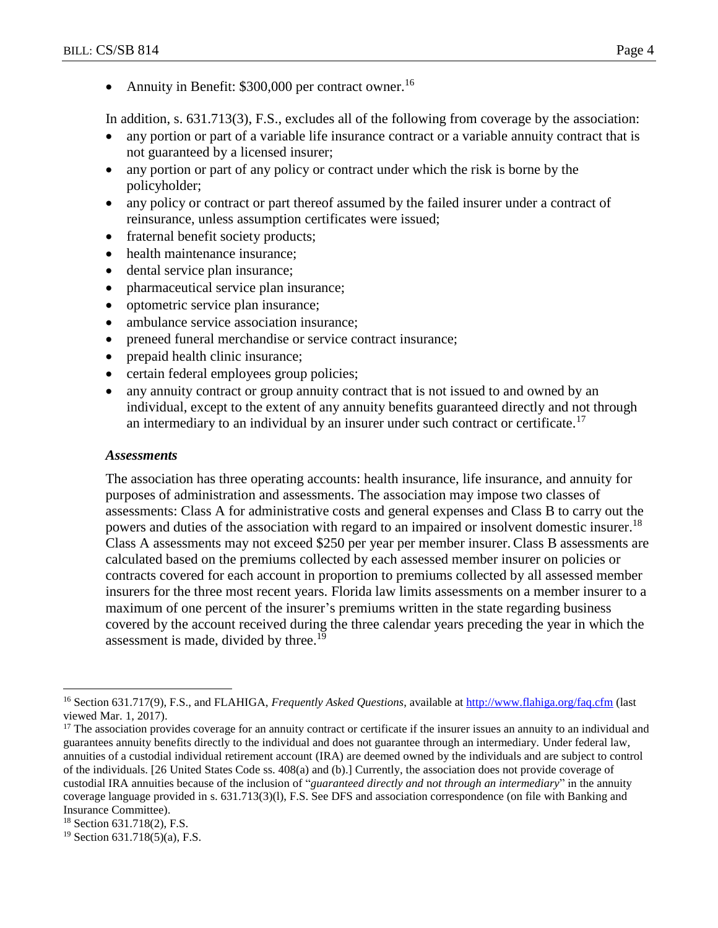• Annuity in Benefit:  $$300,000$  per contract owner.<sup>16</sup>

In addition, s. 631.713(3), F.S., excludes all of the following from coverage by the association:

- any portion or part of a variable life insurance contract or a variable annuity contract that is not guaranteed by a licensed insurer;
- any portion or part of any policy or contract under which the risk is borne by the policyholder;
- any policy or contract or part thereof assumed by the failed insurer under a contract of reinsurance, unless assumption certificates were issued;
- fraternal benefit society products;
- health maintenance insurance;
- dental service plan insurance;
- pharmaceutical service plan insurance;
- optometric service plan insurance;
- ambulance service association insurance;
- preneed funeral merchandise or service contract insurance;
- prepaid health clinic insurance;
- certain federal employees group policies;
- any annuity contract or group annuity contract that is not issued to and owned by an individual, except to the extent of any annuity benefits guaranteed directly and not through an intermediary to an individual by an insurer under such contract or certificate.<sup>17</sup>

## *Assessments*

The association has three operating accounts: health insurance, life insurance, and annuity for purposes of administration and assessments. The association may impose two classes of assessments: Class A for administrative costs and general expenses and Class B to carry out the powers and duties of the association with regard to an impaired or insolvent domestic insurer.<sup>18</sup> Class A assessments may not exceed \$250 per year per member insurer. Class B assessments are calculated based on the premiums collected by each assessed member insurer on policies or contracts covered for each account in proportion to premiums collected by all assessed member insurers for the three most recent years. Florida law limits assessments on a member insurer to a maximum of one percent of the insurer's premiums written in the state regarding business covered by the account received during the three calendar years preceding the year in which the assessment is made, divided by three.<sup>19</sup>

 $\overline{a}$ <sup>16</sup> Section 631.717(9), F.S., and FLAHIGA, *Frequently Asked Questions*, available a[t http://www.flahiga.org/faq.cfm](http://www.flahiga.org/faq.cfm) (last viewed Mar. 1, 2017).

<sup>&</sup>lt;sup>17</sup> The association provides coverage for an annuity contract or certificate if the insurer issues an annuity to an individual and guarantees annuity benefits directly to the individual and does not guarantee through an intermediary. Under federal law, annuities of a custodial individual retirement account (IRA) are deemed owned by the individuals and are subject to control of the individuals. [26 United States Code ss. 408(a) and (b).] Currently, the association does not provide coverage of custodial IRA annuities because of the inclusion of "*guaranteed directly and* n*ot through an intermediary*" in the annuity coverage language provided in s. 631.713(3)(l), F.S. See DFS and association correspondence (on file with Banking and Insurance Committee).

<sup>18</sup> Section 631.718(2), F.S.

 $19$  Section 631.718(5)(a), F.S.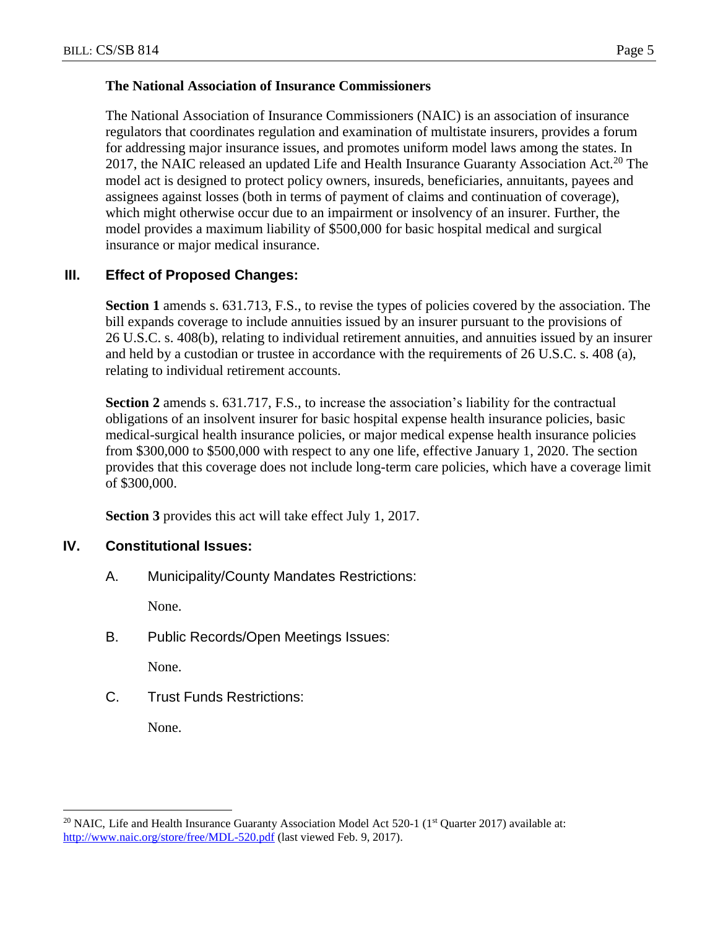## **The National Association of Insurance Commissioners**

The National Association of Insurance Commissioners (NAIC) is an association of insurance regulators that coordinates regulation and examination of multistate insurers, provides a forum for addressing major insurance issues, and promotes uniform model laws among the states. In 2017, the NAIC released an updated Life and Health Insurance Guaranty Association Act.<sup>20</sup> The model act is designed to protect policy owners, insureds, beneficiaries, annuitants, payees and assignees against losses (both in terms of payment of claims and continuation of coverage), which might otherwise occur due to an impairment or insolvency of an insurer. Further, the model provides a maximum liability of \$500,000 for basic hospital medical and surgical insurance or major medical insurance.

## **III. Effect of Proposed Changes:**

**Section 1** amends s. 631.713, F.S., to revise the types of policies covered by the association. The bill expands coverage to include annuities issued by an insurer pursuant to the provisions of 26 U.S.C. s. 408(b), relating to individual retirement annuities, and annuities issued by an insurer and held by a custodian or trustee in accordance with the requirements of 26 U.S.C. s. 408 (a), relating to individual retirement accounts.

**Section 2** amends s. 631.717, F.S., to increase the association's liability for the contractual obligations of an insolvent insurer for basic hospital expense health insurance policies, basic medical-surgical health insurance policies, or major medical expense health insurance policies from \$300,000 to \$500,000 with respect to any one life, effective January 1, 2020. The section provides that this coverage does not include long-term care policies, which have a coverage limit of \$300,000.

**Section 3** provides this act will take effect July 1, 2017.

## **IV. Constitutional Issues:**

A. Municipality/County Mandates Restrictions:

None.

B. Public Records/Open Meetings Issues:

None.

C. Trust Funds Restrictions:

None.

 $\overline{a}$ 

<sup>&</sup>lt;sup>20</sup> NAIC, Life and Health Insurance Guaranty Association Model Act 520-1 ( $1<sup>st</sup>$  Quarter 2017) available at: <http://www.naic.org/store/free/MDL-520.pdf> (last viewed Feb. 9, 2017).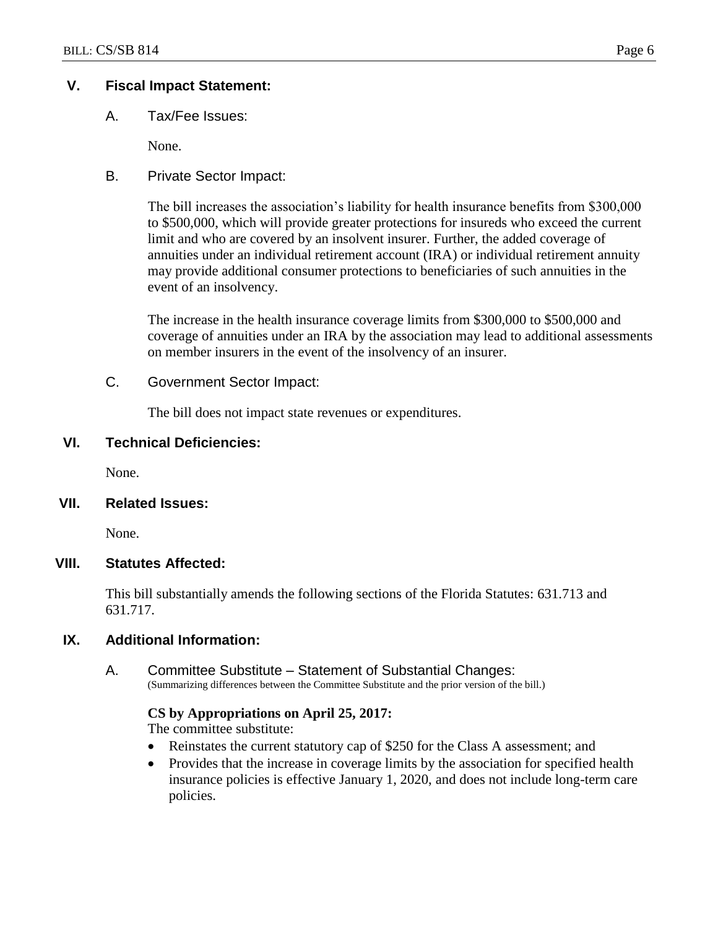## **V. Fiscal Impact Statement:**

A. Tax/Fee Issues:

None.

B. Private Sector Impact:

The bill increases the association's liability for health insurance benefits from \$300,000 to \$500,000, which will provide greater protections for insureds who exceed the current limit and who are covered by an insolvent insurer. Further, the added coverage of annuities under an individual retirement account (IRA) or individual retirement annuity may provide additional consumer protections to beneficiaries of such annuities in the event of an insolvency.

The increase in the health insurance coverage limits from \$300,000 to \$500,000 and coverage of annuities under an IRA by the association may lead to additional assessments on member insurers in the event of the insolvency of an insurer.

#### C. Government Sector Impact:

The bill does not impact state revenues or expenditures.

#### **VI. Technical Deficiencies:**

None.

#### **VII. Related Issues:**

None.

#### **VIII. Statutes Affected:**

This bill substantially amends the following sections of the Florida Statutes: 631.713 and 631.717.

## **IX. Additional Information:**

A. Committee Substitute – Statement of Substantial Changes: (Summarizing differences between the Committee Substitute and the prior version of the bill.)

#### **CS by Appropriations on April 25, 2017:**

The committee substitute:

- Reinstates the current statutory cap of \$250 for the Class A assessment; and
- Provides that the increase in coverage limits by the association for specified health insurance policies is effective January 1, 2020, and does not include long-term care policies.